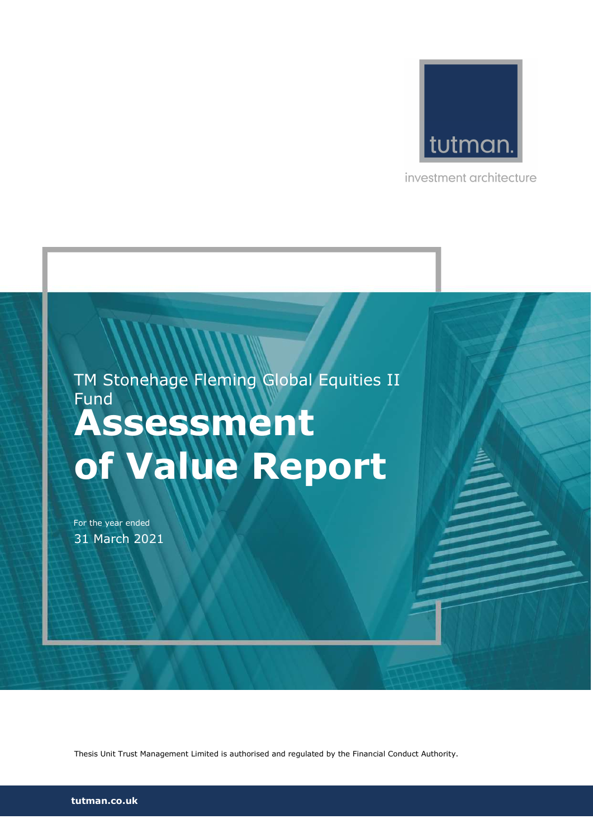

investment architecture

# Assessment of Value Report TM Stonehage Fleming Global Equities II Fund

For the year ended 31 March 2021

Thesis Unit Trust Management Limited is authorised and regulated by the Financial Conduct Authority.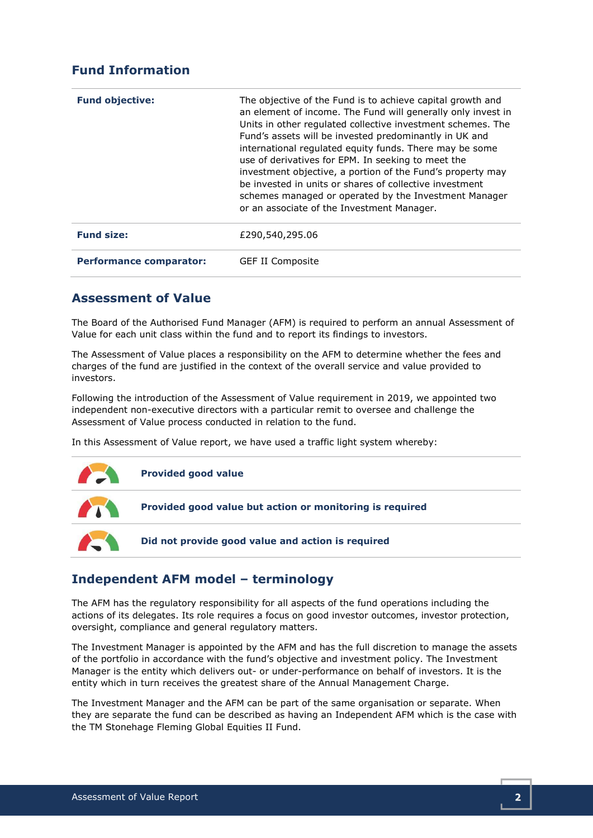# Fund Information

| <b>Fund objective:</b>         | The objective of the Fund is to achieve capital growth and<br>an element of income. The Fund will generally only invest in<br>Units in other regulated collective investment schemes. The<br>Fund's assets will be invested predominantly in UK and<br>international regulated equity funds. There may be some<br>use of derivatives for EPM. In seeking to meet the<br>investment objective, a portion of the Fund's property may<br>be invested in units or shares of collective investment<br>schemes managed or operated by the Investment Manager<br>or an associate of the Investment Manager. |
|--------------------------------|------------------------------------------------------------------------------------------------------------------------------------------------------------------------------------------------------------------------------------------------------------------------------------------------------------------------------------------------------------------------------------------------------------------------------------------------------------------------------------------------------------------------------------------------------------------------------------------------------|
| <b>Fund size:</b>              | £290,540,295.06                                                                                                                                                                                                                                                                                                                                                                                                                                                                                                                                                                                      |
| <b>Performance comparator:</b> | <b>GEF II Composite</b>                                                                                                                                                                                                                                                                                                                                                                                                                                                                                                                                                                              |

#### Assessment of Value

The Board of the Authorised Fund Manager (AFM) is required to perform an annual Assessment of Value for each unit class within the fund and to report its findings to investors.

The Assessment of Value places a responsibility on the AFM to determine whether the fees and charges of the fund are justified in the context of the overall service and value provided to investors.

Following the introduction of the Assessment of Value requirement in 2019, we appointed two independent non-executive directors with a particular remit to oversee and challenge the Assessment of Value process conducted in relation to the fund.

In this Assessment of Value report, we have used a traffic light system whereby:



# Independent AFM model – terminology

The AFM has the regulatory responsibility for all aspects of the fund operations including the actions of its delegates. Its role requires a focus on good investor outcomes, investor protection, oversight, compliance and general regulatory matters.

The Investment Manager is appointed by the AFM and has the full discretion to manage the assets of the portfolio in accordance with the fund's objective and investment policy. The Investment Manager is the entity which delivers out- or under-performance on behalf of investors. It is the entity which in turn receives the greatest share of the Annual Management Charge.

The Investment Manager and the AFM can be part of the same organisation or separate. When they are separate the fund can be described as having an Independent AFM which is the case with the TM Stonehage Fleming Global Equities II Fund.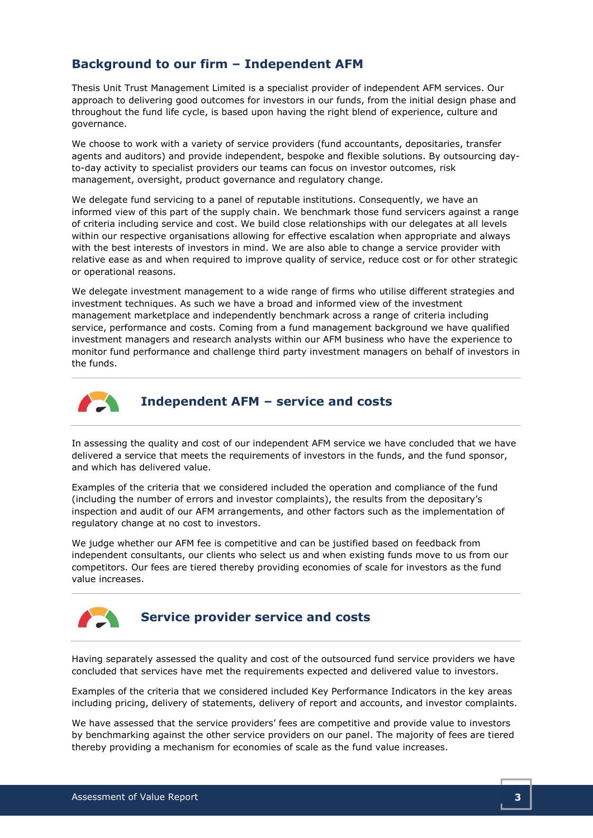# Background to our firm – Independent AFM

Thesis Unit Trust Management Limited is a specialist provider of independent AFM services. Our approach to delivering good outcomes for investors in our funds, from the initial design phase and throughout the fund life cycle, is based upon having the right blend of experience, culture and governance.

We choose to work with a variety of service providers (fund accountants, depositaries, transfer agents and auditors) and provide independent, bespoke and flexible solutions. By outsourcing dayto-day activity to specialist providers our teams can focus on investor outcomes, risk management, oversight, product governance and regulatory change.

We delegate fund servicing to a panel of reputable institutions. Consequently, we have an informed view of this part of the supply chain. We benchmark those fund servicers against a range of criteria including service and cost. We build close relationships with our delegates at all levels within our respective organisations allowing for effective escalation when appropriate and always with the best interests of investors in mind. We are also able to change a service provider with relative ease as and when required to improve quality of service, reduce cost or for other strategic or operational reasons.

We delegate investment management to a wide range of firms who utilise different strategies and investment techniques. As such we have a broad and informed view of the investment management marketplace and independently benchmark across a range of criteria including service, performance and costs. Coming from a fund management background we have qualified investment managers and research analysts within our AFM business who have the experience to monitor fund performance and challenge third party investment managers on behalf of investors in the funds.



Independent AFM – service and costs

In assessing the quality and cost of our independent AFM service we have concluded that we have delivered a service that meets the requirements of investors in the funds, and the fund sponsor, and which has delivered value.

Examples of the criteria that we considered included the operation and compliance of the fund (including the number of errors and investor complaints), the results from the depositary's inspection and audit of our AFM arrangements, and other factors such as the implementation of regulatory change at no cost to investors.

We judge whether our AFM fee is competitive and can be justified based on feedback from independent consultants, our clients who select us and when existing funds move to us from our competitors. Our fees are tiered thereby providing economies of scale for investors as the fund value increases.



## Service provider service and costs

Having separately assessed the quality and cost of the outsourced fund service providers we have concluded that services have met the requirements expected and delivered value to investors.

Examples of the criteria that we considered included Key Performance Indicators in the key areas including pricing, delivery of statements, delivery of report and accounts, and investor complaints.

We have assessed that the service providers' fees are competitive and provide value to investors by benchmarking against the other service providers on our panel. The majority of fees are tiered thereby providing a mechanism for economies of scale as the fund value increases.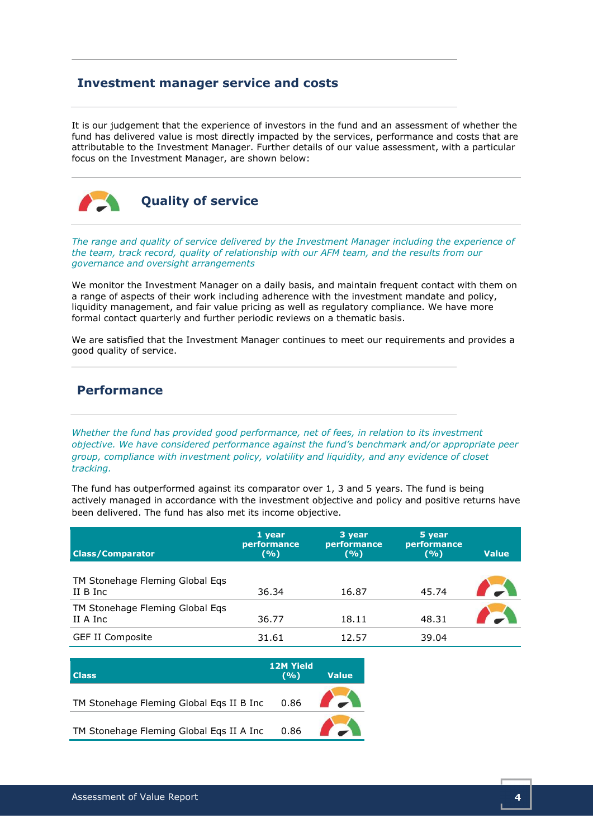#### Investment manager service and costs

It is our judgement that the experience of investors in the fund and an assessment of whether the fund has delivered value is most directly impacted by the services, performance and costs that are attributable to the Investment Manager. Further details of our value assessment, with a particular focus on the Investment Manager, are shown below:



Quality of service

The range and quality of service delivered by the Investment Manager including the experience of the team, track record, quality of relationship with our AFM team, and the results from our governance and oversight arrangements

We monitor the Investment Manager on a daily basis, and maintain frequent contact with them on a range of aspects of their work including adherence with the investment mandate and policy, liquidity management, and fair value pricing as well as regulatory compliance. We have more formal contact quarterly and further periodic reviews on a thematic basis.

We are satisfied that the Investment Manager continues to meet our requirements and provides a good quality of service.

## Performance

Whether the fund has provided good performance, net of fees, in relation to its investment objective. We have considered performance against the fund's benchmark and/or appropriate peer group, compliance with investment policy, volatility and liquidity, and any evidence of closet tracking.

The fund has outperformed against its comparator over 1, 3 and 5 years. The fund is being actively managed in accordance with the investment objective and policy and positive returns have been delivered. The fund has also met its income objective.

| <b>Class/Comparator</b>                     | 1 year<br>performance<br>(9/6) | 3 year<br>performance<br>(9/6) | 5 year<br>performance<br>(9/6) | <b>Value</b> |
|---------------------------------------------|--------------------------------|--------------------------------|--------------------------------|--------------|
| TM Stonehage Fleming Global Egs<br>II B Inc | 36.34                          | 16.87                          | 45.74                          |              |
| TM Stonehage Fleming Global Eqs<br>II A Inc | 36.77                          | 18.11                          | 48.31                          |              |
| <b>GEF II Composite</b>                     | 31.61                          | 12.57                          | 39.04                          |              |

| <b>Class</b>                                  | <b>12M Yield</b><br>(9/0) | <b>Value</b> |
|-----------------------------------------------|---------------------------|--------------|
| TM Stonehage Fleming Global Eqs II B Inc 0.86 |                           |              |
| TM Stonehage Fleming Global Eqs II A Inc 0.86 |                           |              |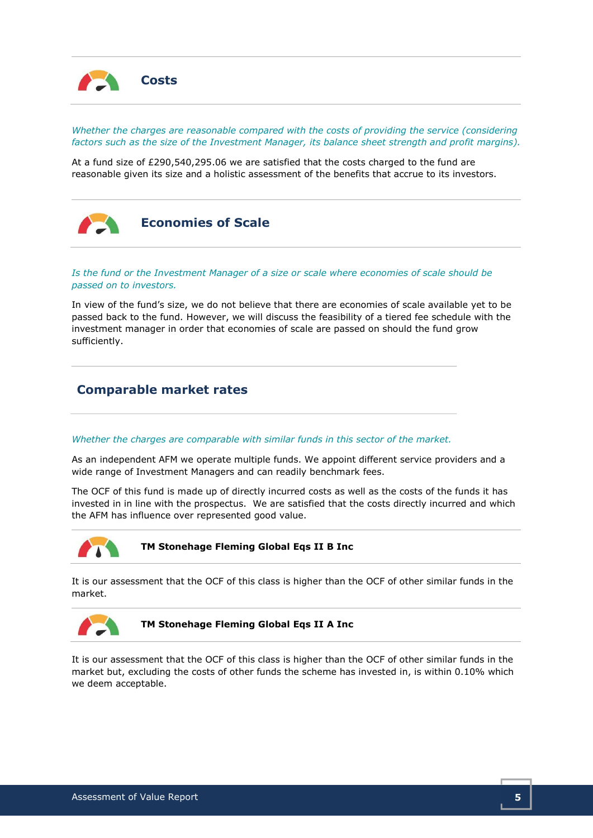

Whether the charges are reasonable compared with the costs of providing the service (considering factors such as the size of the Investment Manager, its balance sheet strength and profit margins).

At a fund size of £290,540,295.06 we are satisfied that the costs charged to the fund are reasonable given its size and a holistic assessment of the benefits that accrue to its investors.



Is the fund or the Investment Manager of a size or scale where economies of scale should be passed on to investors.

In view of the fund's size, we do not believe that there are economies of scale available yet to be passed back to the fund. However, we will discuss the feasibility of a tiered fee schedule with the investment manager in order that economies of scale are passed on should the fund grow sufficiently.

#### Comparable market rates

#### Whether the charges are comparable with similar funds in this sector of the market.

As an independent AFM we operate multiple funds. We appoint different service providers and a wide range of Investment Managers and can readily benchmark fees.

The OCF of this fund is made up of directly incurred costs as well as the costs of the funds it has invested in in line with the prospectus. We are satisfied that the costs directly incurred and which the AFM has influence over represented good value.



TM Stonehage Fleming Global Eqs II B Inc

It is our assessment that the OCF of this class is higher than the OCF of other similar funds in the market.



TM Stonehage Fleming Global Eqs II A Inc

It is our assessment that the OCF of this class is higher than the OCF of other similar funds in the market but, excluding the costs of other funds the scheme has invested in, is within 0.10% which we deem acceptable.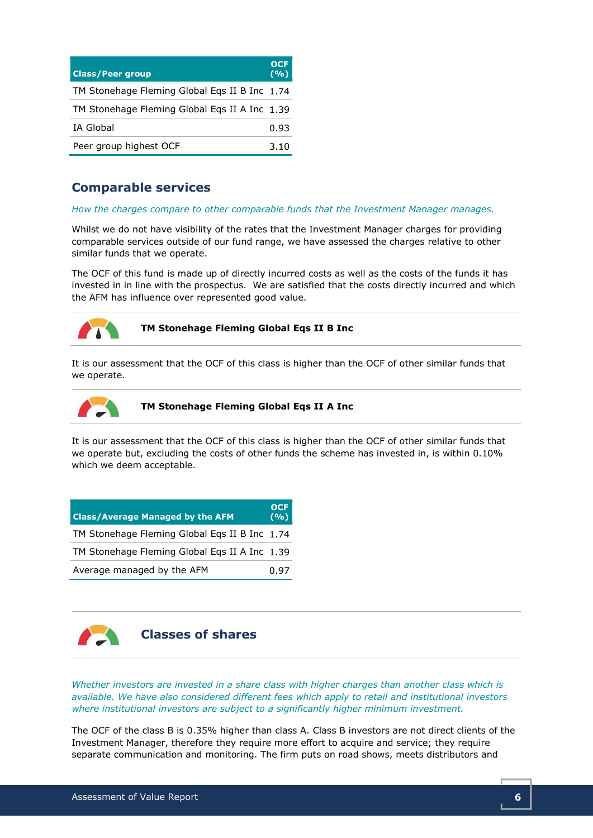| <b>Class/Peer group</b>                       | <b>OCE</b><br>(9/6) |
|-----------------------------------------------|---------------------|
| TM Stonehage Fleming Global Egs II B Inc 1.74 |                     |
| TM Stonehage Fleming Global Egs II A Inc 1.39 |                     |
| <b>IA Global</b>                              | 0.93                |
| Peer group highest OCF                        | 3.10                |

## Comparable services

#### How the charges compare to other comparable funds that the Investment Manager manages.

Whilst we do not have visibility of the rates that the Investment Manager charges for providing comparable services outside of our fund range, we have assessed the charges relative to other similar funds that we operate.

The OCF of this fund is made up of directly incurred costs as well as the costs of the funds it has invested in in line with the prospectus. We are satisfied that the costs directly incurred and which the AFM has influence over represented good value.



TM Stonehage Fleming Global Eqs II B Inc

It is our assessment that the OCF of this class is higher than the OCF of other similar funds that we operate.



TM Stonehage Fleming Global Eqs II A Inc

It is our assessment that the OCF of this class is higher than the OCF of other similar funds that we operate but, excluding the costs of other funds the scheme has invested in, is within 0.10% which we deem acceptable.

| <b>Class/Average Managed by the AFM</b>       | <b>OCF</b><br>(9/6) |
|-----------------------------------------------|---------------------|
| TM Stonehage Fleming Global Eqs II B Inc 1.74 |                     |
| TM Stonehage Fleming Global Egs II A Inc 1.39 |                     |
| Average managed by the AFM                    | 0.97                |



Whether investors are invested in a share class with higher charges than another class which is available. We have also considered different fees which apply to retail and institutional investors where institutional investors are subject to a significantly higher minimum investment.

The OCF of the class B is 0.35% higher than class A. Class B investors are not direct clients of the Investment Manager, therefore they require more effort to acquire and service; they require separate communication and monitoring. The firm puts on road shows, meets distributors and